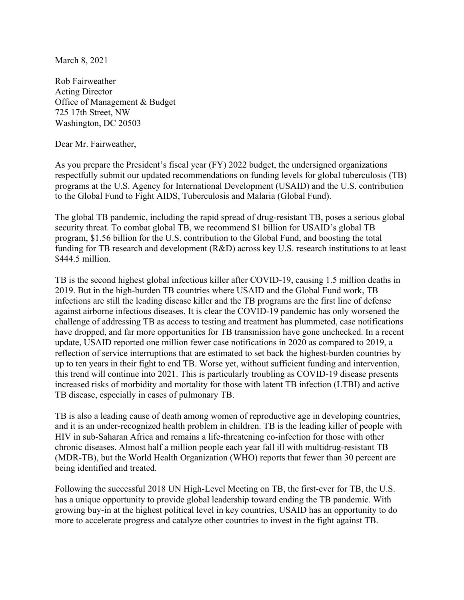March 8, 2021

Rob Fairweather Acting Director Office of Management & Budget 725 17th Street, NW Washington, DC 20503

Dear Mr. Fairweather,

As you prepare the President's fiscal year (FY) 2022 budget, the undersigned organizations respectfully submit our updated recommendations on funding levels for global tuberculosis (TB) programs at the U.S. Agency for International Development (USAID) and the U.S. contribution to the Global Fund to Fight AIDS, Tuberculosis and Malaria (Global Fund).

The global TB pandemic, including the rapid spread of drug-resistant TB, poses a serious global security threat. To combat global TB, we recommend \$1 billion for USAID's global TB program, \$1.56 billion for the U.S. contribution to the Global Fund, and boosting the total funding for TB research and development (R&D) across key U.S. research institutions to at least \$444.5 million.

TB is the second highest global infectious killer after COVID-19, causing 1.5 million deaths in 2019. But in the high-burden TB countries where USAID and the Global Fund work, TB infections are still the leading disease killer and the TB programs are the first line of defense against airborne infectious diseases. It is clear the COVID-19 pandemic has only worsened the challenge of addressing TB as access to testing and treatment has plummeted, case notifications have dropped, and far more opportunities for TB transmission have gone unchecked. In a recent update, USAID reported one million fewer case notifications in 2020 as compared to 2019, a reflection of service interruptions that are estimated to set back the highest-burden countries by up to ten years in their fight to end TB. Worse yet, without sufficient funding and intervention, this trend will continue into 2021. This is particularly troubling as COVID-19 disease presents increased risks of morbidity and mortality for those with latent TB infection (LTBI) and active TB disease, especially in cases of pulmonary TB.

TB is also a leading cause of death among women of reproductive age in developing countries, and it is an under-recognized health problem in children. TB is the leading killer of people with HIV in sub-Saharan Africa and remains a life-threatening co-infection for those with other chronic diseases. Almost half a million people each year fall ill with multidrug-resistant TB (MDR-TB), but the World Health Organization (WHO) reports that fewer than 30 percent are being identified and treated.

Following the successful 2018 UN High-Level Meeting on TB, the first-ever for TB, the U.S. has a unique opportunity to provide global leadership toward ending the TB pandemic. With growing buy-in at the highest political level in key countries, USAID has an opportunity to do more to accelerate progress and catalyze other countries to invest in the fight against TB.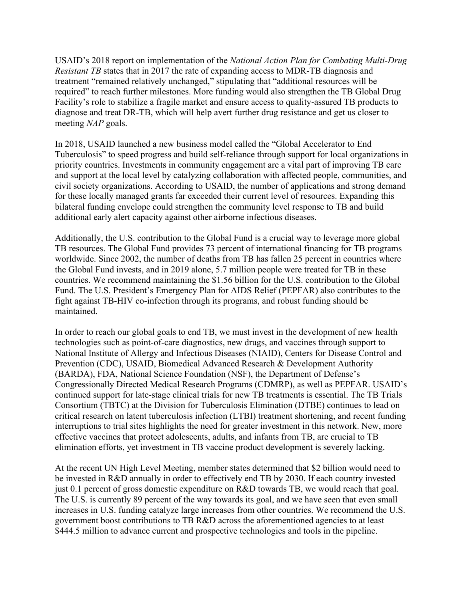USAID's 2018 report on implementation of the *National Action Plan for Combating Multi-Drug Resistant TB* states that in 2017 the rate of expanding access to MDR-TB diagnosis and treatment "remained relatively unchanged," stipulating that "additional resources will be required" to reach further milestones. More funding would also strengthen the TB Global Drug Facility's role to stabilize a fragile market and ensure access to quality-assured TB products to diagnose and treat DR-TB, which will help avert further drug resistance and get us closer to meeting *NAP* goals.

In 2018, USAID launched a new business model called the "Global Accelerator to End Tuberculosis" to speed progress and build self-reliance through support for local organizations in priority countries. Investments in community engagement are a vital part of improving TB care and support at the local level by catalyzing collaboration with affected people, communities, and civil society organizations. According to USAID, the number of applications and strong demand for these locally managed grants far exceeded their current level of resources. Expanding this bilateral funding envelope could strengthen the community level response to TB and build additional early alert capacity against other airborne infectious diseases.

Additionally, the U.S. contribution to the Global Fund is a crucial way to leverage more global TB resources. The Global Fund provides 73 percent of international financing for TB programs worldwide. Since 2002, the number of deaths from TB has fallen 25 percent in countries where the Global Fund invests, and in 2019 alone, 5.7 million people were treated for TB in these countries. We recommend maintaining the \$1.56 billion for the U.S. contribution to the Global Fund. The U.S. President's Emergency Plan for AIDS Relief (PEPFAR) also contributes to the fight against TB-HIV co-infection through its programs, and robust funding should be maintained.

In order to reach our global goals to end TB, we must invest in the development of new health technologies such as point-of-care diagnostics, new drugs, and vaccines through support to National Institute of Allergy and Infectious Diseases (NIAID), Centers for Disease Control and Prevention (CDC), USAID, Biomedical Advanced Research & Development Authority (BARDA), FDA, National Science Foundation (NSF), the Department of Defense's Congressionally Directed Medical Research Programs (CDMRP), as well as PEPFAR. USAID's continued support for late-stage clinical trials for new TB treatments is essential. The TB Trials Consortium (TBTC) at the Division for Tuberculosis Elimination (DTBE) continues to lead on critical research on latent tuberculosis infection (LTBI) treatment shortening, and recent funding interruptions to trial sites highlights the need for greater investment in this network. New, more effective vaccines that protect adolescents, adults, and infants from TB, are crucial to TB elimination efforts, yet investment in TB vaccine product development is severely lacking.

At the recent UN High Level Meeting, member states determined that \$2 billion would need to be invested in R&D annually in order to effectively end TB by 2030. If each country invested just 0.1 percent of gross domestic expenditure on R&D towards TB, we would reach that goal. The U.S. is currently 89 percent of the way towards its goal, and we have seen that even small increases in U.S. funding catalyze large increases from other countries. We recommend the U.S. government boost contributions to TB R&D across the aforementioned agencies to at least \$444.5 million to advance current and prospective technologies and tools in the pipeline.